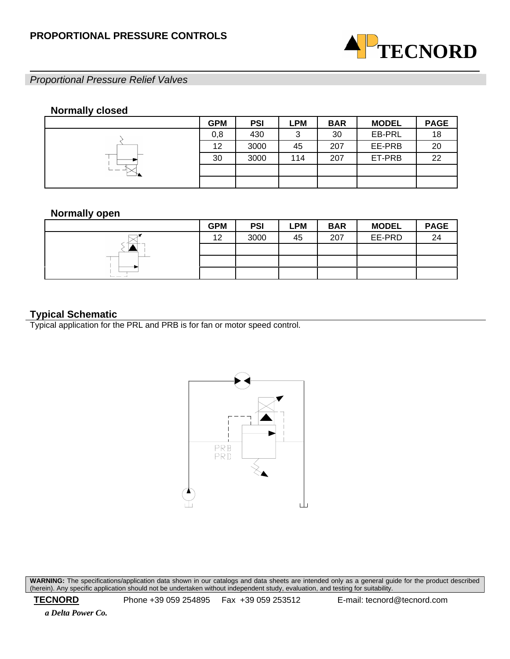

# *Proportional Pressure Relief Valves*

# **Normally closed**

|              | <b>GPM</b> | <b>PSI</b> | LPM | <b>BAR</b> | <b>MODEL</b> | <b>PAGE</b> |
|--------------|------------|------------|-----|------------|--------------|-------------|
|              | 0,8        | 430        | 3   | 30         | EB-PRL       | 18          |
|              | 12         | 3000       | 45  | 207        | EE-PRB       | 20          |
|              | 30         | 3000       | 114 | 207        | ET-PRB       | 22          |
| --<br>$\sim$ |            |            |     |            |              |             |
|              |            |            |     |            |              |             |

# **Normally open**

|     | <b>GPM</b> | <b>PSI</b> | <b>LPM</b> | <b>BAR</b> | <b>MODEL</b> | <b>PAGE</b> |
|-----|------------|------------|------------|------------|--------------|-------------|
|     | 12         | 3000       | 45         | 207        | EE-PRD       | 24          |
|     |            |            |            |            |              |             |
| __  |            |            |            |            |              |             |
| ___ |            |            |            |            |              |             |

# **Typical Schematic**

Typical application for the PRL and PRB is for fan or motor speed control.



**WARNING:** The specifications/application data shown in our catalogs and data sheets are intended only as a general guide for the product described (herein). Any specific application should not be undertaken without independent study, evaluation, and testing for suitability.

 **TECNORD** Phone +39 059 254895 Fax +39 059 253512 E-mail: tecnord@tecnord.com

 *a Delta Power Co.*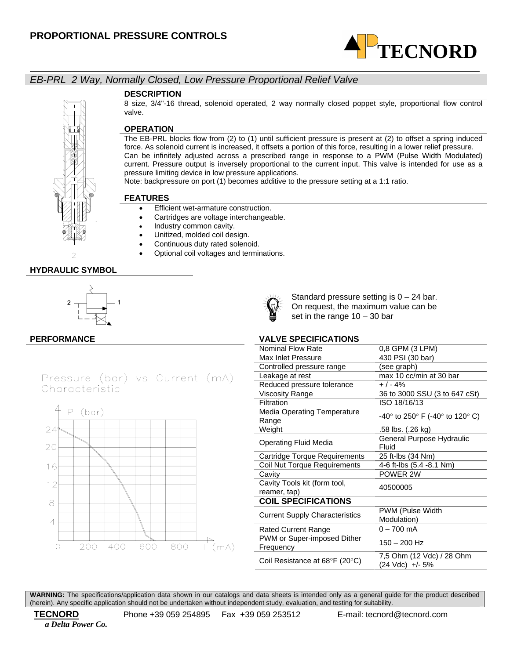

# *EB-PRL 2 Way, Normally Closed, Low Pressure Proportional Relief Valve*

### **DESCRIPTION**

8 size, 3/4"-16 thread, solenoid operated, 2 way normally closed poppet style, proportional flow control valve.

### **OPERATION**

The EB-PRL blocks flow from (2) to (1) until sufficient pressure is present at (2) to offset a spring induced force. As solenoid current is increased, it offsets a portion of this force, resulting in a lower relief pressure. Can be infinitely adjusted across a prescribed range in response to a PWM (Pulse Width Modulated) current. Pressure output is inversely proportional to the current input. This valve is intended for use as a pressure limiting device in low pressure applications.

Note: backpressure on port (1) becomes additive to the pressure setting at a 1:1 ratio.

#### **FEATURES**

- Efficient wet-armature construction.
- Cartridges are voltage interchangeable.
- Industry common cavity.
- Unitized, molded coil design.
- Continuous duty rated solenoid.
- Optional coil voltages and terminations.

# 2 **HYDRAULIC SYMBOL**



Pressure (bar) vs Current (mA) Characteristic



Standard pressure setting is  $0 - 24$  bar. On request, the maximum value can be set in the range 10 – 30 bar

### **PERFORMANCE VALVE SPECIFICATIONS**

| Nominal Flow Rate                            | 0,8 GPM (3 LPM)                              |
|----------------------------------------------|----------------------------------------------|
| Max Inlet Pressure                           | 430 PSI (30 bar)                             |
| Controlled pressure range                    | (see graph)                                  |
| Leakage at rest                              | max 10 cc/min at 30 bar                      |
| Reduced pressure tolerance                   | + / - 4%                                     |
| <b>Viscosity Range</b>                       | 36 to 3000 SSU (3 to 647 cSt)                |
| <b>Filtration</b>                            | ISO 18/16/13                                 |
| <b>Media Operating Temperature</b><br>Range  | -40° to 250° F (-40° to 120° C)              |
| Weight                                       | .58 lbs. (.26 kg)                            |
| Operating Fluid Media                        | General Purpose Hydraulic<br>Fluid           |
| Cartridge Torque Requirements                | 25 ft-lbs (34 Nm)                            |
| Coil Nut Torque Requirements                 | 4-6 ft-lbs (5.4 -8.1 Nm)                     |
| Cavity                                       | POWER 2W                                     |
| Cavity Tools kit (form tool,<br>reamer, tap) | 40500005                                     |
| <b>COIL SPECIFICATIONS</b>                   |                                              |
| <b>Current Supply Characteristics</b>        | PWM (Pulse Width<br>Modulation)              |
| <b>Rated Current Range</b>                   | $0 - 700$ mA                                 |
| PWM or Super-imposed Dither<br>Frequency     | 150 - 200 Hz                                 |
| Coil Resistance at 68°F (20°C)               | 7,5 Ohm (12 Vdc) / 28 Ohm<br>(24 Vdc) +/- 5% |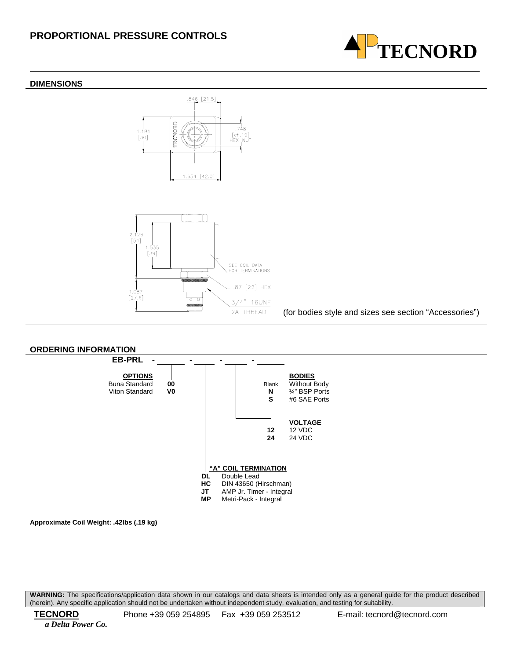



2A THREAD (for bodies style and sizes see section "Accessories")

**TECNORD**



**Approximate Coil Weight: .42lbs (.19 kg)**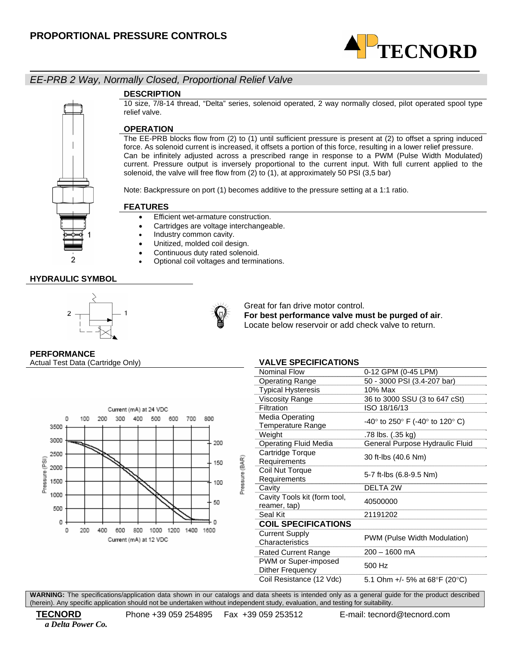

# *EE-PRB 2 Way, Normally Closed, Proportional Relief Valve*

### **DESCRIPTION**

10 size, 7/8-14 thread, "Delta" series, solenoid operated, 2 way normally closed, pilot operated spool type relief valve.

## **OPERATION**

The EE-PRB blocks flow from (2) to (1) until sufficient pressure is present at (2) to offset a spring induced force. As solenoid current is increased, it offsets a portion of this force, resulting in a lower relief pressure. Can be infinitely adjusted across a prescribed range in response to a PWM (Pulse Width Modulated) current. Pressure output is inversely proportional to the current input. With full current applied to the solenoid, the valve will free flow from (2) to (1), at approximately 50 PSI (3,5 bar)

Note: Backpressure on port (1) becomes additive to the pressure setting at a 1:1 ratio.

### **FEATURES**

- Efficient wet-armature construction. • Cartridges are voltage interchangeable.
	- Industry common cavity.
	- Unitized, molded coil design.
	- Continuous duty rated solenoid.
	- Optional coil voltages and terminations.

### **HYDRAULIC SYMBOL**





Great for fan drive motor control.

**For best performance valve must be purged of air**. Locate below reservoir or add check valve to return.

**PERFORMANCE** 

Actual Test Data (Cartridge Only) **VALVE SPECIFICATIONS** 



| טווטה וסאו ווטבר וט                             |                                 |
|-------------------------------------------------|---------------------------------|
| <b>Nominal Flow</b>                             | 0-12 GPM (0-45 LPM)             |
| <b>Operating Range</b>                          | 50 - 3000 PSI (3.4-207 bar)     |
| <b>Typical Hysteresis</b>                       | 10% Max                         |
| <b>Viscosity Range</b>                          | 36 to 3000 SSU (3 to 647 cSt)   |
| Filtration                                      | ISO 18/16/13                    |
| Media Operating<br>Temperature Range            | -40° to 250° F (-40° to 120° C) |
| Weight                                          | .78 lbs. (.35 kg)               |
| Operating Fluid Media                           | General Purpose Hydraulic Fluid |
| Cartridge Torque<br>Requirements                | 30 ft-lbs (40.6 Nm)             |
| Coil Nut Torque<br>Requirements                 | 5-7 ft-lbs (6.8-9.5 Nm)         |
| Cavity                                          | DELTA 2W                        |
| Cavity Tools kit (form tool,<br>reamer, tap)    | 40500000                        |
| Seal Kit                                        | 21191202                        |
| <b>COIL SPECIFICATIONS</b>                      |                                 |
| <b>Current Supply</b><br>Characteristics        | PWM (Pulse Width Modulation)    |
| <b>Rated Current Range</b>                      | 200 – 1600 mA                   |
| PWM or Super-imposed<br><b>Dither Frequency</b> | 500 Hz                          |
| Coil Resistance (12 Vdc)                        | 5.1 Ohm +/- 5% at 68°F (20°C)   |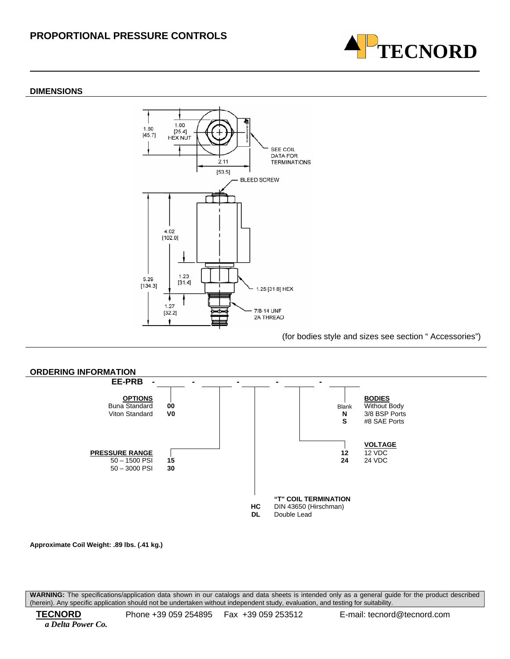

#### **DIMENSIONS**



#### (for bodies style and sizes see section " Accessories")



**Approximate Coil Weight: .89 lbs. (.41 kg.)**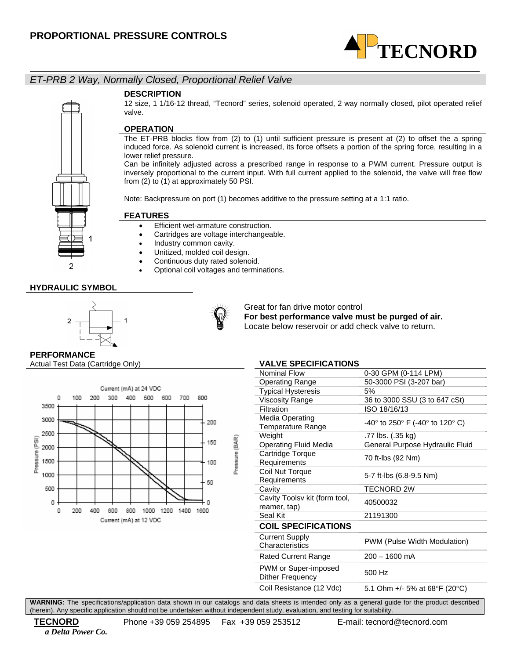

# *ET-PRB 2 Way, Normally Closed, Proportional Relief Valve*

### **DESCRIPTION**

12 size, 1 1/16-12 thread, "Tecnord" series, solenoid operated, 2 way normally closed, pilot operated relief valve.

# **OPERATION**

The ET-PRB blocks flow from (2) to (1) until sufficient pressure is present at (2) to offset the a spring induced force. As solenoid current is increased, its force offsets a portion of the spring force, resulting in a lower relief pressure.

Can be infinitely adjusted across a prescribed range in response to a PWM current. Pressure output is inversely proportional to the current input. With full current applied to the solenoid, the valve will free flow from (2) to (1) at approximately 50 PSI.

Note: Backpressure on port (1) becomes additive to the pressure setting at a 1:1 ratio.

### **FEATURES**

- Efficient wet-armature construction.
- Cartridges are voltage interchangeable.
- Industry common cavity.
- Unitized, molded coil design.
- Continuous duty rated solenoid.
- Optional coil voltages and terminations.

### **HYDRAULIC SYMBOL**

2





Great for fan drive motor control **For best performance valve must be purged of air.**  Locate below reservoir or add check valve to return.

# **PERFORMANCE**

Actual Test Data (Cartridge Only) **VALVE SPECIFICATIONS** 



| Nominal Flow                                                              | 0-30 GPM (0-114 LPM)                                                |  |
|---------------------------------------------------------------------------|---------------------------------------------------------------------|--|
| <b>Operating Range</b>                                                    | 50-3000 PSI (3-207 bar)                                             |  |
| <b>Typical Hysteresis</b>                                                 | 5%                                                                  |  |
| <b>Viscosity Range</b>                                                    | 36 to 3000 SSU (3 to 647 cSt)                                       |  |
| Filtration                                                                | ISO 18/16/13                                                        |  |
| Media Operating<br><b>Temperature Range</b>                               | -40 $\degree$ to 250 $\degree$ F (-40 $\degree$ to 120 $\degree$ C) |  |
| Weight                                                                    | .77 lbs. (.35 kg)                                                   |  |
| Operating Fluid Media                                                     | General Purpose Hydraulic Fluid                                     |  |
| Cartridge Torque<br>Requirements                                          | 70 ft-lbs (92 Nm)                                                   |  |
| Coil Nut Torque<br>Requirements                                           | 5-7 ft-lbs (6.8-9.5 Nm)                                             |  |
| Cavity                                                                    | <b>TECNORD 2W</b>                                                   |  |
| Cavity Toolsv kit (form tool,<br>reamer, tap)                             | 40500032                                                            |  |
| Seal Kit                                                                  | 21191300                                                            |  |
| <b>COIL SPECIFICATIONS</b>                                                |                                                                     |  |
| <b>Current Supply</b><br>Characteristics                                  | PWM (Pulse Width Modulation)                                        |  |
| Rated Current Range                                                       | $200 - 1600$ mA                                                     |  |
| PWM or Super-imposed<br>Dither Frequency                                  | 500 Hz                                                              |  |
| Coil Resistance (12 Vdc)                                                  | 5.1 Ohm +/- 5% at 68°F (20°C)                                       |  |
| data sheets is intended only as a general quide for the product described |                                                                     |  |

**WARNING:** The specifications/application data shown in our catalogs and (herein). Any specific application should not be undertaken without independent study, evaluation, and testing for suitability.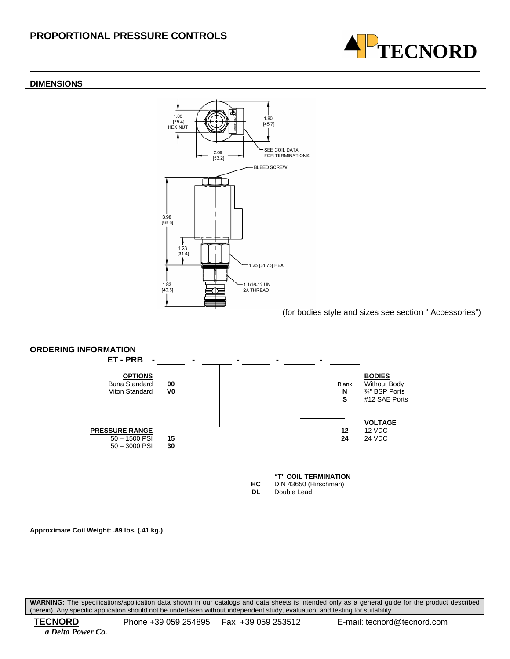#### **DIMENSIONS**



**TECNORD**



**Approximate Coil Weight: .89 lbs. (.41 kg.)**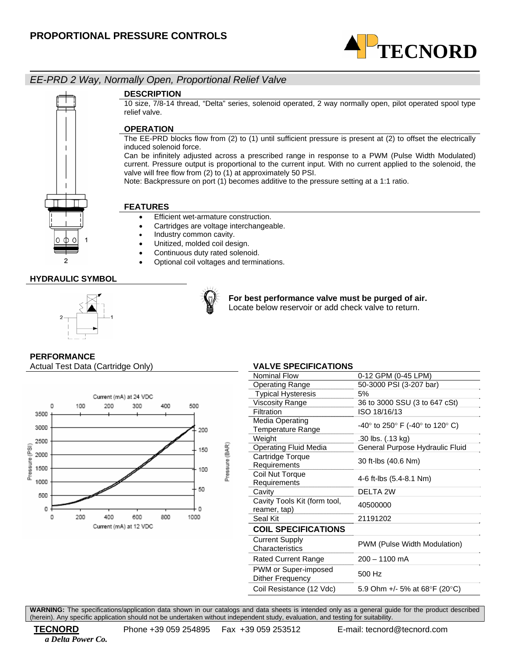

# *EE-PRD 2 Way, Normally Open, Proportional Relief Valve*

### **DESCRIPTION**

10 size, 7/8-14 thread, "Delta" series, solenoid operated, 2 way normally open, pilot operated spool type relief valve.

## **OPERATION**

The EE-PRD blocks flow from (2) to (1) until sufficient pressure is present at (2) to offset the electrically induced solenoid force.

Can be infinitely adjusted across a prescribed range in response to a PWM (Pulse Width Modulated) current. Pressure output is proportional to the current input. With no current applied to the solenoid, the valve will free flow from (2) to (1) at approximately 50 PSI.

Note: Backpressure on port (1) becomes additive to the pressure setting at a 1:1 ratio.

### **FEATURES**

- Efficient wet-armature construction.
- Cartridges are voltage interchangeable.
- Industry common cavity.
- Unitized, molded coil design.
- Continuous duty rated solenoid.
- Optional coil voltages and terminations.

## **HYDRAULIC SYMBOL**

 $\Box$ 





**For best performance valve must be purged of air.**  Locate below reservoir or add check valve to return.

# **PERFORMANCE**

Actual Test Data (Cartridge Only) **VALVE SPECIFICATIONS** 



| <b>Nominal Flow</b>          | 0-12 GPM (0-45 LPM)             |
|------------------------------|---------------------------------|
| <b>Operating Range</b>       | 50-3000 PSI (3-207 bar)         |
| <b>Typical Hysteresis</b>    | 5%                              |
| <b>Viscosity Range</b>       | 36 to 3000 SSU (3 to 647 cSt)   |
| Filtration                   | ISO 18/16/13                    |
| Media Operating              | -40° to 250° F (-40° to 120° C) |
| <b>Temperature Range</b>     |                                 |
| Weight                       | .30 lbs. (.13 kg)               |
| <b>Operating Fluid Media</b> | General Purpose Hydraulic Fluid |
| Cartridge Torque             | 30 ft-lbs (40.6 Nm)             |
| Requirements                 |                                 |
| Coil Nut Torque              | 4-6 ft-lbs (5.4-8.1 Nm)         |
| Requirements                 |                                 |
| Cavity                       | DELTA 2W                        |
| Cavity Tools Kit (form tool, | 40500000                        |
| reamer, tap)                 |                                 |
| Seal Kit                     | 21191202                        |
| <b>COIL SPECIFICATIONS</b>   |                                 |
| <b>Current Supply</b>        | PWM (Pulse Width Modulation)    |
| Characteristics              |                                 |
| <b>Rated Current Range</b>   | $200 - 1100$ mA                 |
| PWM or Super-imposed         | 500 Hz                          |
| Dither Frequency             |                                 |
| Coil Resistance (12 Vdc)     | 5.9 Ohm +/- 5% at 68°F (20°C)   |
|                              |                                 |